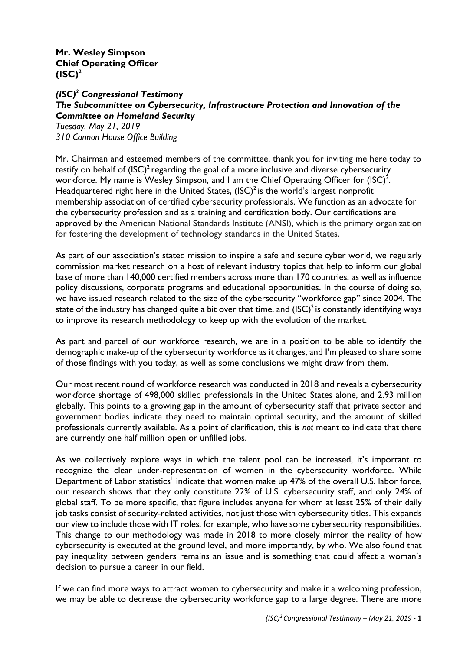# **Mr. Wesley Simpson Chief Operating Officer**  $(ISC)^2$

## *(ISC)<sup>2</sup> Congressional Testimony The Subcommittee on Cybersecurity, Infrastructure Protection and Innovation of the Committee on Homeland Security*

*Tuesday, May 21, 2019 310 Cannon House Office Building*

Mr. Chairman and esteemed members of the committee, thank you for inviting me here today to testify on behalf of (ISC) $^2$ regarding the goal of a more inclusive and diverse cybersecurity workforce. My name is Wesley Simpson, and I am the Chief Operating Officer for (ISC) $^2$ . Headquartered right here in the United States, (ISC) $^2$  is the world's largest nonprofit membership association of certified cybersecurity professionals. We function as an advocate for the cybersecurity profession and as a training and certification body. Our certifications are approved by the American National Standards Institute (ANSI), which is the primary organization for fostering the development of technology standards in the United States.

As part of our association's stated mission to inspire a safe and secure cyber world, we regularly commission market research on a host of relevant industry topics that help to inform our global base of more than 140,000 certified members across more than 170 countries, as well as influence policy discussions, corporate programs and educational opportunities. In the course of doing so, we have issued research related to the size of the cybersecurity "workforce gap" since 2004. The state of the industry has changed quite a bit over that time, and (ISC) $^2$ is constantly identifying ways to improve its research methodology to keep up with the evolution of the market.

As part and parcel of our workforce research, we are in a position to be able to identify the demographic make-up of the cybersecurity workforce as it changes, and I'm pleased to share some of those findings with you today, as well as some conclusions we might draw from them.

Our most recent round of workforce research was conducted in 2018 and reveals a cybersecurity workforce shortage of 498,000 skilled professionals in the United States alone, and 2.93 million globally. This points to a growing gap in the amount of cybersecurity staff that private sector and government bodies indicate they need to maintain optimal security, and the amount of skilled professionals currently available. As a point of clarification, this is *not* meant to indicate that there are currently one half million open or unfilled jobs.

As we collectively explore ways in which the talent pool can be increased, it's important to recognize the clear under-representation of women in the cybersecurity workforce. While Department of Labor statistics $^\text{!}$  indicate that women make up 47% of the overall U.S. labor force, our research shows that they only constitute 22% of U.S. cybersecurity staff, and only 24% of global staff. To be more specific, that figure includes anyone for whom at least 25% of their daily job tasks consist of security-related activities, not just those with cybersecurity titles. This expands our view to include those with IT roles, for example, who have some cybersecurity responsibilities. This change to our methodology was made in 2018 to more closely mirror the reality of how cybersecurity is executed at the ground level, and more importantly, by who. We also found that pay inequality between genders remains an issue and is something that could affect a woman's decision to pursue a career in our field.

If we can find more ways to attract women to cybersecurity and make it a welcoming profession, we may be able to decrease the cybersecurity workforce gap to a large degree. There are more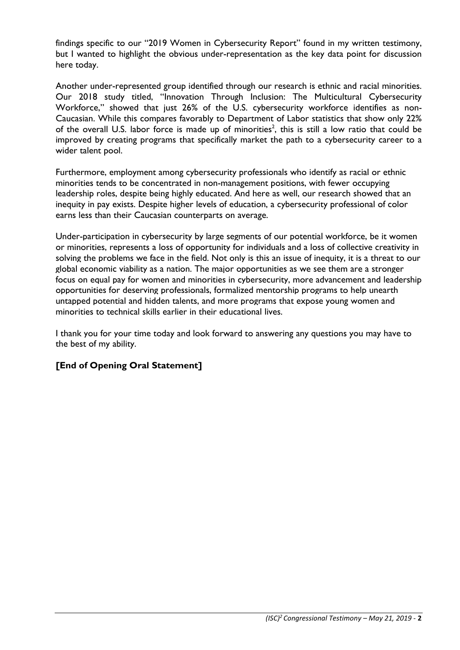findings specific to our "2019 Women in Cybersecurity Report" found in my written testimony, but I wanted to highlight the obvious under-representation as the key data point for discussion here today.

Another under-represented group identified through our research is ethnic and racial minorities. Our 2018 study titled, "Innovation Through Inclusion: The Multicultural Cybersecurity Workforce," showed that just 26% of the U.S. cybersecurity workforce identifies as non-Caucasian. While this compares favorably to Department of Labor statistics that show only 22% of the overall U.S. labor force is made up of minorities<sup>2</sup>, this is still a low ratio that could be improved by creating programs that specifically market the path to a cybersecurity career to a wider talent pool.

Furthermore, employment among cybersecurity professionals who identify as racial or ethnic minorities tends to be concentrated in non-management positions, with fewer occupying leadership roles, despite being highly educated. And here as well, our research showed that an inequity in pay exists. Despite higher levels of education, a cybersecurity professional of color earns less than their Caucasian counterparts on average.

Under-participation in cybersecurity by large segments of our potential workforce, be it women or minorities, represents a loss of opportunity for individuals and a loss of collective creativity in solving the problems we face in the field. Not only is this an issue of inequity, it is a threat to our global economic viability as a nation. The major opportunities as we see them are a stronger focus on equal pay for women and minorities in cybersecurity, more advancement and leadership opportunities for deserving professionals, formalized mentorship programs to help unearth untapped potential and hidden talents, and more programs that expose young women and minorities to technical skills earlier in their educational lives.

I thank you for your time today and look forward to answering any questions you may have to the best of my ability.

# **[End of Opening Oral Statement]**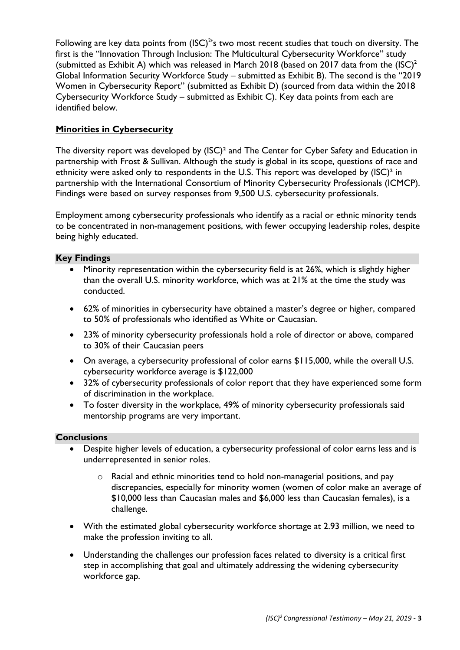Following are key data points from (ISC) $^2$ 's two most recent studies that touch on diversity. The first is the "Innovation Through Inclusion: The Multicultural Cybersecurity Workforce" study (submitted as Exhibit A) which was released in March 2018 (based on 2017 data from the  $(ISC)^2$ Global Information Security Workforce Study – submitted as Exhibit B). The second is the "2019 Women in Cybersecurity Report" (submitted as Exhibit D) (sourced from data within the 2018 Cybersecurity Workforce Study – submitted as Exhibit C). Key data points from each are identified below.

# **Minorities in Cybersecurity**

The diversity report was developed by (ISC)<sup>2</sup> and The Center for Cyber Safety and Education in partnership with Frost & Sullivan. Although the study is global in its scope, questions of race and ethnicity were asked only to respondents in the U.S. This report was developed by (ISC)<sup>2</sup> in partnership with the International Consortium of Minority Cybersecurity Professionals (ICMCP). Findings were based on survey responses from 9,500 U.S. cybersecurity professionals.

Employment among cybersecurity professionals who identify as a racial or ethnic minority tends to be concentrated in non-management positions, with fewer occupying leadership roles, despite being highly educated.

## **Key Findings**

- Minority representation within the cybersecurity field is at 26%, which is slightly higher than the overall U.S. minority workforce, which was at 21% at the time the study was conducted.
- 62% of minorities in cybersecurity have obtained a master's degree or higher, compared to 50% of professionals who identified as White or Caucasian.
- 23% of minority cybersecurity professionals hold a role of director or above, compared to 30% of their Caucasian peers
- On average, a cybersecurity professional of color earns \$115,000, while the overall U.S. cybersecurity workforce average is \$122,000
- 32% of cybersecurity professionals of color report that they have experienced some form of discrimination in the workplace.
- To foster diversity in the workplace, 49% of minority cybersecurity professionals said mentorship programs are very important.

### **Conclusions**

- Despite higher levels of education, a cybersecurity professional of color earns less and is underrepresented in senior roles.
	- o Racial and ethnic minorities tend to hold non-managerial positions, and pay discrepancies, especially for minority women (women of color make an average of \$10,000 less than Caucasian males and \$6,000 less than Caucasian females), is a challenge.
- With the estimated global cybersecurity workforce shortage at 2.93 million, we need to make the profession inviting to all.
- Understanding the challenges our profession faces related to diversity is a critical first step in accomplishing that goal and ultimately addressing the widening cybersecurity workforce gap.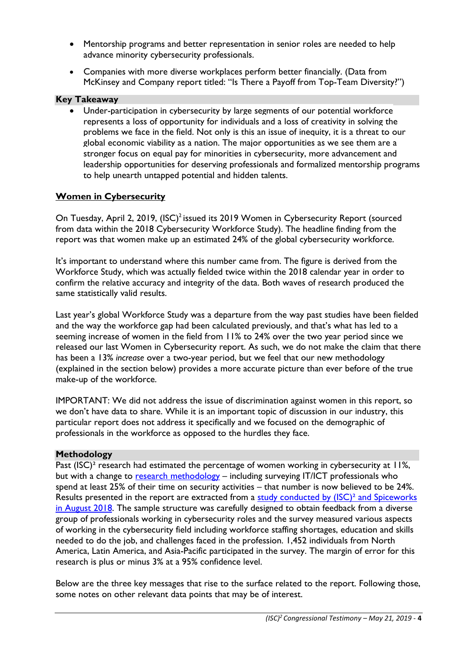- Mentorship programs and better representation in senior roles are needed to help advance minority cybersecurity professionals.
- Companies with more diverse workplaces perform better financially. (Data from McKinsey and Company report titled: "Is There a Payoff from Top-Team Diversity?")

## **Key Takeaway**

 Under-participation in cybersecurity by large segments of our potential workforce represents a loss of opportunity for individuals and a loss of creativity in solving the problems we face in the field. Not only is this an issue of inequity, it is a threat to our global economic viability as a nation. The major opportunities as we see them are a stronger focus on equal pay for minorities in cybersecurity, more advancement and leadership opportunities for deserving professionals and formalized mentorship programs to help unearth untapped potential and hidden talents.

# **Women in Cybersecurity**

On Tuesday, April 2, 2019,  $(\mathsf{ISC})^2$ issued its 2019 Women in Cybersecurity Report (sourced from data within the 2018 Cybersecurity Workforce Study). The headline finding from the report was that women make up an estimated 24% of the global cybersecurity workforce.

It's important to understand where this number came from. The figure is derived from the Workforce Study, which was actually fielded twice within the 2018 calendar year in order to confirm the relative accuracy and integrity of the data. Both waves of research produced the same statistically valid results.

Last year's global Workforce Study was a departure from the way past studies have been fielded and the way the workforce gap had been calculated previously, and that's what has led to a seeming increase of women in the field from 11% to 24% over the two year period since we released our last Women in Cybersecurity report. As such, we do not make the claim that there has been a 13% *increase* over a two-year period, but we feel that our new methodology (explained in the section below) provides a more accurate picture than ever before of the true make-up of the workforce.

IMPORTANT: We did not address the issue of discrimination against women in this report, so we don't have data to share. While it is an important topic of discussion in our industry, this particular report does not address it specifically and we focused on the demographic of professionals in the workforce as opposed to the hurdles they face.

### **Methodology**

Past (ISC)<sup>2</sup> research had estimated the percentage of women working in cybersecurity at 11%, but with a change to research [methodology](https://blog.isc2.org/isc2_blog/2018/10/workforce-study-methodology-and-defining-the-gap.html) – including surveying IT/ICT professionals who spend at least 25% of their time on security activities – that number is now believed to be 24%. Results presented in the report are extracted from a study conducted by (ISC)<sup>2</sup> and [Spiceworks](https://www.isc2.org/Workforce-Study) in [August](https://www.isc2.org/Workforce-Study) 2018. The sample structure was carefully designed to obtain feedback from a diverse group of professionals working in cybersecurity roles and the survey measured various aspects of working in the cybersecurity field including workforce staffing shortages, education and skills needed to do the job, and challenges faced in the profession. 1,452 individuals from North America, Latin America, and Asia-Pacific participated in the survey. The margin of error for this research is plus or minus 3% at a 95% confidence level.

Below are the three key messages that rise to the surface related to the report. Following those, some notes on other relevant data points that may be of interest.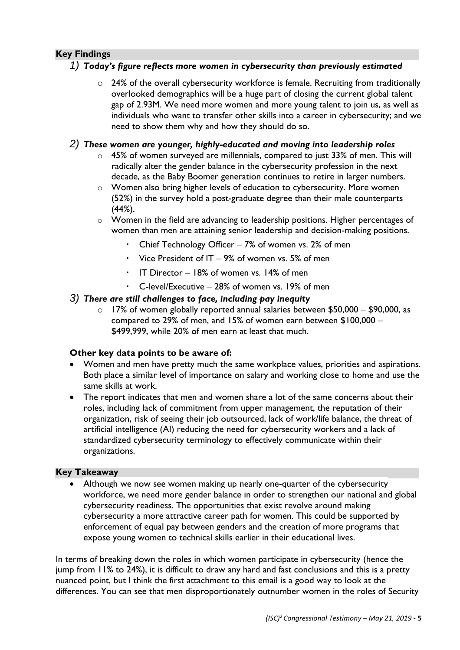## **Key Findings**

### *1) Today's figure reflects more women in cybersecurity than previously estimated*

 $\circ$  24% of the overall cybersecurity workforce is female. Recruiting from traditionally overlooked demographics will be a huge part of closing the current global talent gap of 2.93M. We need more women and more young talent to join us, as well as individuals who want to transfer other skills into a career in cybersecurity; and we need to show them why and how they should do so.

#### *2) These women are younger, highly-educated and moving into leadership roles*

- $\circ$  45% of women surveyed are millennials, compared to just 33% of men. This will radically alter the gender balance in the cybersecurity profession in the next decade, as the Baby Boomer generation continues to retire in larger numbers.
- o Women also bring higher levels of education to cybersecurity. More women (52%) in the survey hold a post-graduate degree than their male counterparts  $(44%)$ .
- o Women in the field are advancing to leadership positions. Higher percentages of women than men are attaining senior leadership and decision-making positions.
	- Chief Technology Officer  $-7\%$  of women vs. 2% of men
	- Vice President of IT 9% of women vs. 5% of men
	- IT Director 18% of women vs. 14% of men
	- C-level/Executive 28% of women vs. 19% of men

#### *3) There are still challenges to face, including pay inequity*

 $\circ$  17% of women globally reported annual salaries between \$50,000 – \$90,000, as compared to 29% of men, and 15% of women earn between \$100,000 – \$499,999, while 20% of men earn at least that much.

#### **Other key data points to be aware of:**

- Women and men have pretty much the same workplace values, priorities and aspirations. Both place a similar level of importance on salary and working close to home and use the same skills at work.
- The report indicates that men and women share a lot of the same concerns about their roles, including lack of commitment from upper management, the reputation of their organization, risk of seeing their job outsourced, lack of work/life balance, the threat of artificial intelligence (AI) reducing the need for cybersecurity workers and a lack of standardized cybersecurity terminology to effectively communicate within their organizations.

#### **Key Takeaway**

 Although we now see women making up nearly one-quarter of the cybersecurity workforce, we need more gender balance in order to strengthen our national and global cybersecurity readiness. The opportunities that exist revolve around making cybersecurity a more attractive career path for women. This could be supported by enforcement of equal pay between genders and the creation of more programs that expose young women to technical skills earlier in their educational lives.

In terms of breaking down the roles in which women participate in cybersecurity (hence the jump from 11% to 24%), it is difficult to draw any hard and fast conclusions and this is a pretty nuanced point, but I think the first attachment to this email is a good way to look at the differences. You can see that men disproportionately outnumber women in the roles of Security